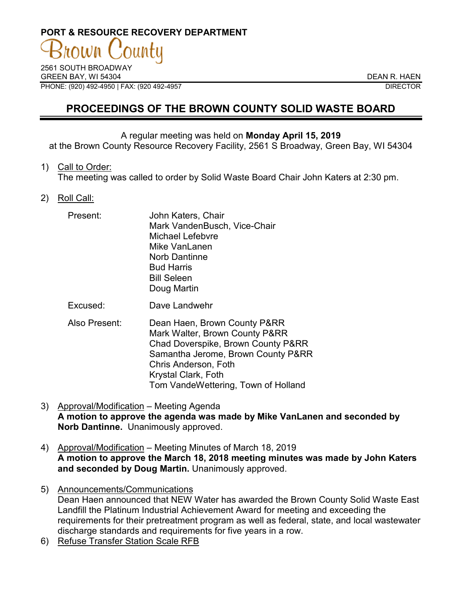# **PORT & RESOURCE RECOVERY DEPARTMENT**

2561 SOUTH BROADWAY GREEN BAY, WI 54304 DEAN R. HAEN PHONE: (920) 492-4950 | FAX: (920 492-4957 DIRECTOR

## **PROCEEDINGS OF THE BROWN COUNTY SOLID WASTE BOARD**

#### A regular meeting was held on **Monday April 15, 2019**

at the Brown County Resource Recovery Facility, 2561 S Broadway, Green Bay, WI 54304

1) Call to Order:

The meeting was called to order by Solid Waste Board Chair John Katers at 2:30 pm.

2) Roll Call:

| Mike VanLanen<br>Norb Dantinne<br><b>Bud Harris</b><br><b>Bill Seleen</b><br>Doug Martin | Present: | John Katers, Chair<br>Mark VandenBusch, Vice-Chair<br><b>Michael Lefebvre</b> |
|------------------------------------------------------------------------------------------|----------|-------------------------------------------------------------------------------|
|------------------------------------------------------------------------------------------|----------|-------------------------------------------------------------------------------|

- Excused: Dave Landwehr
- Also Present: Dean Haen, Brown County P&RR Mark Walter, Brown County P&RR Chad Doverspike, Brown County P&RR Samantha Jerome, Brown County P&RR Chris Anderson, Foth Krystal Clark, Foth Tom VandeWettering, Town of Holland
- 3) Approval/Modification Meeting Agenda **A motion to approve the agenda was made by Mike VanLanen and seconded by Norb Dantinne.** Unanimously approved.
- 4) Approval/Modification Meeting Minutes of March 18, 2019 **A motion to approve the March 18, 2018 meeting minutes was made by John Katers and seconded by Doug Martin.** Unanimously approved.
- 5) Announcements/Communications Dean Haen announced that NEW Water has awarded the Brown County Solid Waste East Landfill the Platinum Industrial Achievement Award for meeting and exceeding the requirements for their pretreatment program as well as federal, state, and local wastewater discharge standards and requirements for five years in a row.
- 6) Refuse Transfer Station Scale RFB